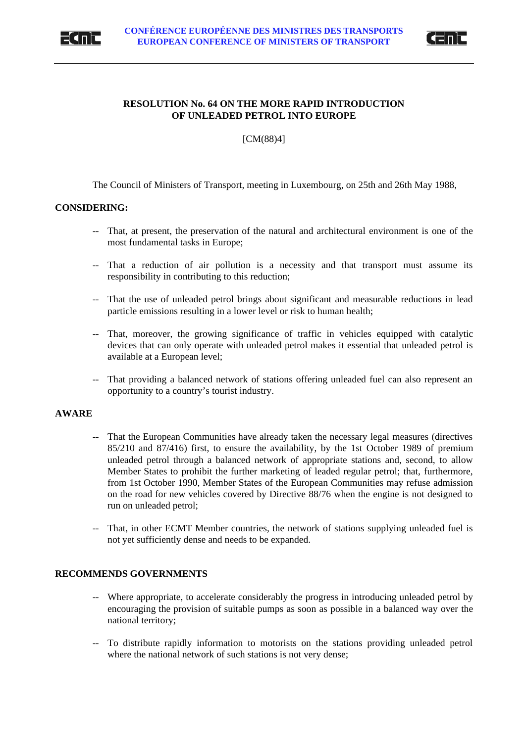



## **RESOLUTION No. 64 ON THE MORE RAPID INTRODUCTION OF UNLEADED PETROL INTO EUROPE**

[CM(88)4]

The Council of Ministers of Transport, meeting in Luxembourg, on 25th and 26th May 1988,

## **CONSIDERING:**

- -- That, at present, the preservation of the natural and architectural environment is one of the most fundamental tasks in Europe;
- -- That a reduction of air pollution is a necessity and that transport must assume its responsibility in contributing to this reduction;
- -- That the use of unleaded petrol brings about significant and measurable reductions in lead particle emissions resulting in a lower level or risk to human health;
- -- That, moreover, the growing significance of traffic in vehicles equipped with catalytic devices that can only operate with unleaded petrol makes it essential that unleaded petrol is available at a European level;
- -- That providing a balanced network of stations offering unleaded fuel can also represent an opportunity to a country's tourist industry.

## **AWARE**

- -- That the European Communities have already taken the necessary legal measures (directives 85/210 and 87/416) first, to ensure the availability, by the 1st October 1989 of premium unleaded petrol through a balanced network of appropriate stations and, second, to allow Member States to prohibit the further marketing of leaded regular petrol; that, furthermore, from 1st October 1990, Member States of the European Communities may refuse admission on the road for new vehicles covered by Directive 88/76 when the engine is not designed to run on unleaded petrol;
- -- That, in other ECMT Member countries, the network of stations supplying unleaded fuel is not yet sufficiently dense and needs to be expanded.

## **RECOMMENDS GOVERNMENTS**

- -- Where appropriate, to accelerate considerably the progress in introducing unleaded petrol by encouraging the provision of suitable pumps as soon as possible in a balanced way over the national territory;
- -- To distribute rapidly information to motorists on the stations providing unleaded petrol where the national network of such stations is not very dense;